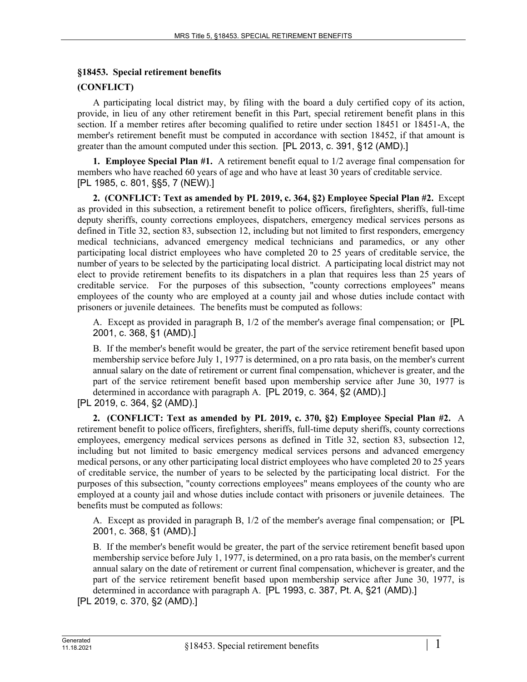### **§18453. Special retirement benefits**

## **(CONFLICT)**

A participating local district may, by filing with the board a duly certified copy of its action, provide, in lieu of any other retirement benefit in this Part, special retirement benefit plans in this section. If a member retires after becoming qualified to retire under section 18451 or 18451-A, the member's retirement benefit must be computed in accordance with section 18452, if that amount is greater than the amount computed under this section. [PL 2013, c. 391, §12 (AMD).]

**1. Employee Special Plan #1.** A retirement benefit equal to 1/2 average final compensation for members who have reached 60 years of age and who have at least 30 years of creditable service. [PL 1985, c. 801, §§5, 7 (NEW).]

**2. (CONFLICT: Text as amended by PL 2019, c. 364, §2) Employee Special Plan #2.** Except as provided in this subsection, a retirement benefit to police officers, firefighters, sheriffs, full-time deputy sheriffs, county corrections employees, dispatchers, emergency medical services persons as defined in Title 32, section 83, subsection 12, including but not limited to first responders, emergency medical technicians, advanced emergency medical technicians and paramedics, or any other participating local district employees who have completed 20 to 25 years of creditable service, the number of years to be selected by the participating local district. A participating local district may not elect to provide retirement benefits to its dispatchers in a plan that requires less than 25 years of creditable service. For the purposes of this subsection, "county corrections employees" means employees of the county who are employed at a county jail and whose duties include contact with prisoners or juvenile detainees. The benefits must be computed as follows:

A. Except as provided in paragraph B, 1/2 of the member's average final compensation; or [PL 2001, c. 368, §1 (AMD).]

B. If the member's benefit would be greater, the part of the service retirement benefit based upon membership service before July 1, 1977 is determined, on a pro rata basis, on the member's current annual salary on the date of retirement or current final compensation, whichever is greater, and the part of the service retirement benefit based upon membership service after June 30, 1977 is determined in accordance with paragraph A. [PL 2019, c. 364, §2 (AMD).]

[PL 2019, c. 364, §2 (AMD).]

**2. (CONFLICT: Text as amended by PL 2019, c. 370, §2) Employee Special Plan #2.** A retirement benefit to police officers, firefighters, sheriffs, full-time deputy sheriffs, county corrections employees, emergency medical services persons as defined in Title 32, section 83, subsection 12, including but not limited to basic emergency medical services persons and advanced emergency medical persons, or any other participating local district employees who have completed 20 to 25 years of creditable service, the number of years to be selected by the participating local district. For the purposes of this subsection, "county corrections employees" means employees of the county who are employed at a county jail and whose duties include contact with prisoners or juvenile detainees. The benefits must be computed as follows:

A. Except as provided in paragraph B, 1/2 of the member's average final compensation; or [PL 2001, c. 368, §1 (AMD).]

B. If the member's benefit would be greater, the part of the service retirement benefit based upon membership service before July 1, 1977, is determined, on a pro rata basis, on the member's current annual salary on the date of retirement or current final compensation, whichever is greater, and the part of the service retirement benefit based upon membership service after June 30, 1977, is determined in accordance with paragraph A. [PL 1993, c. 387, Pt. A, §21 (AMD).]

[PL 2019, c. 370, §2 (AMD).]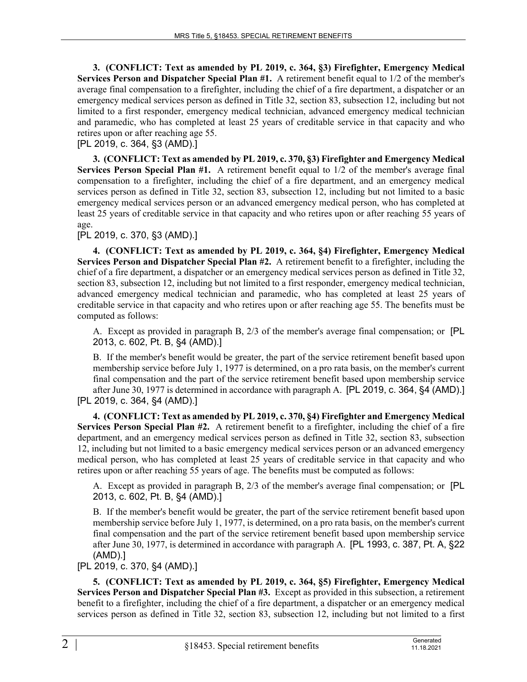**3. (CONFLICT: Text as amended by PL 2019, c. 364, §3) Firefighter, Emergency Medical Services Person and Dispatcher Special Plan #1.** A retirement benefit equal to 1/2 of the member's average final compensation to a firefighter, including the chief of a fire department, a dispatcher or an emergency medical services person as defined in Title 32, section 83, subsection 12, including but not limited to a first responder, emergency medical technician, advanced emergency medical technician and paramedic, who has completed at least 25 years of creditable service in that capacity and who retires upon or after reaching age 55.

[PL 2019, c. 364, §3 (AMD).]

**3. (CONFLICT: Text as amended by PL 2019, c. 370, §3) Firefighter and Emergency Medical Services Person Special Plan #1.** A retirement benefit equal to 1/2 of the member's average final compensation to a firefighter, including the chief of a fire department, and an emergency medical services person as defined in Title 32, section 83, subsection 12, including but not limited to a basic emergency medical services person or an advanced emergency medical person, who has completed at least 25 years of creditable service in that capacity and who retires upon or after reaching 55 years of age.

[PL 2019, c. 370, §3 (AMD).]

**4. (CONFLICT: Text as amended by PL 2019, c. 364, §4) Firefighter, Emergency Medical Services Person and Dispatcher Special Plan #2.** A retirement benefit to a firefighter, including the chief of a fire department, a dispatcher or an emergency medical services person as defined in Title 32, section 83, subsection 12, including but not limited to a first responder, emergency medical technician, advanced emergency medical technician and paramedic, who has completed at least 25 years of creditable service in that capacity and who retires upon or after reaching age 55. The benefits must be computed as follows:

A. Except as provided in paragraph B, 2/3 of the member's average final compensation; or [PL 2013, c. 602, Pt. B, §4 (AMD).]

B. If the member's benefit would be greater, the part of the service retirement benefit based upon membership service before July 1, 1977 is determined, on a pro rata basis, on the member's current final compensation and the part of the service retirement benefit based upon membership service after June 30, 1977 is determined in accordance with paragraph A. [PL 2019, c. 364, §4 (AMD).] [PL 2019, c. 364, §4 (AMD).]

**4. (CONFLICT: Text as amended by PL 2019, c. 370, §4) Firefighter and Emergency Medical Services Person Special Plan #2.** A retirement benefit to a firefighter, including the chief of a fire department, and an emergency medical services person as defined in Title 32, section 83, subsection 12, including but not limited to a basic emergency medical services person or an advanced emergency medical person, who has completed at least 25 years of creditable service in that capacity and who retires upon or after reaching 55 years of age. The benefits must be computed as follows:

A. Except as provided in paragraph B, 2/3 of the member's average final compensation; or [PL 2013, c. 602, Pt. B, §4 (AMD).]

B. If the member's benefit would be greater, the part of the service retirement benefit based upon membership service before July 1, 1977, is determined, on a pro rata basis, on the member's current final compensation and the part of the service retirement benefit based upon membership service after June 30, 1977, is determined in accordance with paragraph A. [PL 1993, c. 387, Pt. A, §22 (AMD).]

[PL 2019, c. 370, §4 (AMD).]

**5. (CONFLICT: Text as amended by PL 2019, c. 364, §5) Firefighter, Emergency Medical Services Person and Dispatcher Special Plan #3.** Except as provided in this subsection, a retirement benefit to a firefighter, including the chief of a fire department, a dispatcher or an emergency medical services person as defined in Title 32, section 83, subsection 12, including but not limited to a first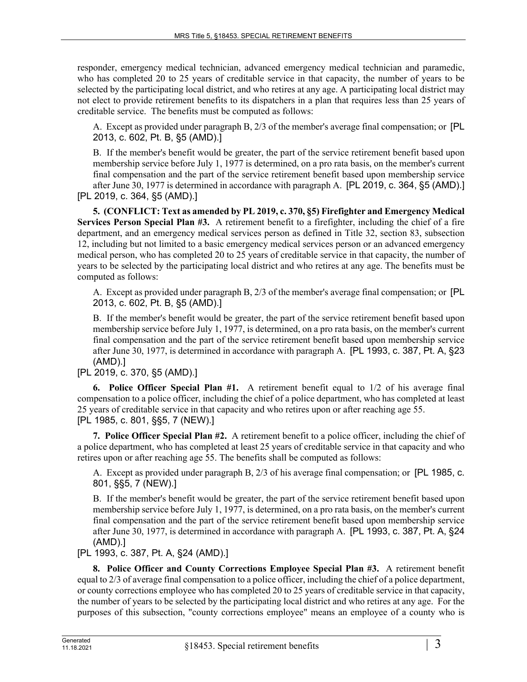responder, emergency medical technician, advanced emergency medical technician and paramedic, who has completed 20 to 25 years of creditable service in that capacity, the number of years to be selected by the participating local district, and who retires at any age. A participating local district may not elect to provide retirement benefits to its dispatchers in a plan that requires less than 25 years of creditable service. The benefits must be computed as follows:

A. Except as provided under paragraph B, 2/3 of the member's average final compensation; or [PL 2013, c. 602, Pt. B, §5 (AMD).]

B. If the member's benefit would be greater, the part of the service retirement benefit based upon membership service before July 1, 1977 is determined, on a pro rata basis, on the member's current final compensation and the part of the service retirement benefit based upon membership service after June 30, 1977 is determined in accordance with paragraph A. [PL 2019, c. 364, §5 (AMD).] [PL 2019, c. 364, §5 (AMD).]

**5. (CONFLICT: Text as amended by PL 2019, c. 370, §5) Firefighter and Emergency Medical Services Person Special Plan #3.** A retirement benefit to a firefighter, including the chief of a fire department, and an emergency medical services person as defined in Title 32, section 83, subsection 12, including but not limited to a basic emergency medical services person or an advanced emergency medical person, who has completed 20 to 25 years of creditable service in that capacity, the number of years to be selected by the participating local district and who retires at any age. The benefits must be computed as follows:

A. Except as provided under paragraph B, 2/3 of the member's average final compensation; or [PL 2013, c. 602, Pt. B, §5 (AMD).]

B. If the member's benefit would be greater, the part of the service retirement benefit based upon membership service before July 1, 1977, is determined, on a pro rata basis, on the member's current final compensation and the part of the service retirement benefit based upon membership service after June 30, 1977, is determined in accordance with paragraph A. [PL 1993, c. 387, Pt. A, §23 (AMD).]

[PL 2019, c. 370, §5 (AMD).]

**6. Police Officer Special Plan #1.** A retirement benefit equal to 1/2 of his average final compensation to a police officer, including the chief of a police department, who has completed at least 25 years of creditable service in that capacity and who retires upon or after reaching age 55. [PL 1985, c. 801, §§5, 7 (NEW).]

**7. Police Officer Special Plan #2.** A retirement benefit to a police officer, including the chief of a police department, who has completed at least 25 years of creditable service in that capacity and who retires upon or after reaching age 55. The benefits shall be computed as follows:

A. Except as provided under paragraph B, 2/3 of his average final compensation; or [PL 1985, c. 801, §§5, 7 (NEW).]

B. If the member's benefit would be greater, the part of the service retirement benefit based upon membership service before July 1, 1977, is determined, on a pro rata basis, on the member's current final compensation and the part of the service retirement benefit based upon membership service after June 30, 1977, is determined in accordance with paragraph A. [PL 1993, c. 387, Pt. A, §24 (AMD).]

[PL 1993, c. 387, Pt. A, §24 (AMD).]

**8. Police Officer and County Corrections Employee Special Plan #3.** A retirement benefit equal to 2/3 of average final compensation to a police officer, including the chief of a police department, or county corrections employee who has completed 20 to 25 years of creditable service in that capacity, the number of years to be selected by the participating local district and who retires at any age. For the purposes of this subsection, "county corrections employee" means an employee of a county who is